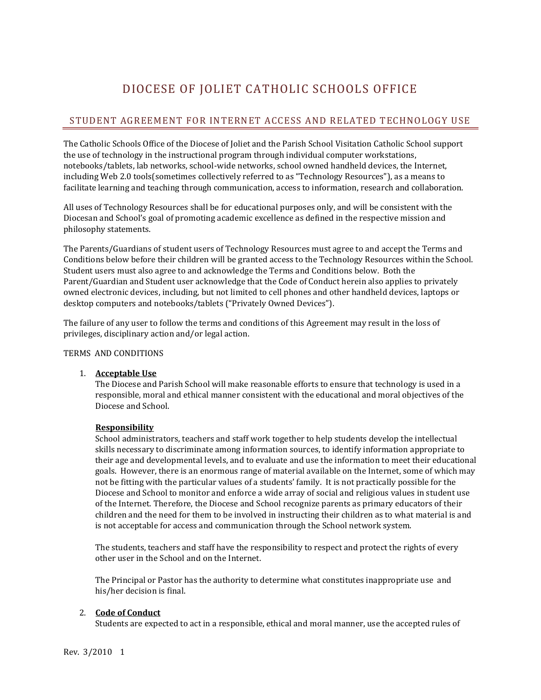# DIOCESE OF JOLIET CATHOLIC SCHOOLS OFFICE

# STUDENT AGREEMENT FOR INTERNET ACCESS AND RELATED TECHNOLOGY USE

The Catholic Schools Office of the Diocese of Joliet and the Parish School Visitation Catholic School support the use of technology in the instructional program through individual computer workstations, notebooks/tablets, lab networks, school-wide networks, school owned handheld devices, the Internet, including Web 2.0 tools(sometimes collectively referred to as "Technology Resources"), as a means to facilitate learning and teaching through communication, access to information, research and collaboration.

All uses of Technology Resources shall be for educational purposes only, and will be consistent with the Diocesan and School's goal of promoting academic excellence as defined in the respective mission and philosophy statements.

The Parents/Guardians of student users of Technology Resources must agree to and accept the Terms and Conditions below before their children will be granted access to the Technology Resources within the School. Student users must also agree to and acknowledge the Terms and Conditions below. Both the Parent/Guardian and Student user acknowledge that the Code of Conduct herein also applies to privately owned electronic devices, including, but not limited to cell phones and other handheld devices, laptops or desktop computers and notebooks/tablets ("Privately Owned Devices").

The failure of any user to follow the terms and conditions of this Agreement may result in the loss of privileges, disciplinary action and/or legal action.

### TERMS AND CONDITIONS

### 1. **Acceptable Use**

The Diocese and Parish School will make reasonable efforts to ensure that technology is used in a responsible, moral and ethical manner consistent with the educational and moral objectives of the Diocese and School.

# **Responsibility**

School administrators, teachers and staff work together to help students develop the intellectual skills necessary to discriminate among information sources, to identify information appropriate to their age and developmental levels, and to evaluate and use the information to meet their educational goals. However, there is an enormous range of material available on the Internet, some of which may not be fitting with the particular values of a students' family. It is not practically possible for the Diocese and School to monitor and enforce a wide array of social and religious values in student use of the Internet. Therefore, the Diocese and School recognize parents as primary educators of their children and the need for them to be involved in instructing their children as to what material is and is not acceptable for access and communication through the School network system.

The students, teachers and staff have the responsibility to respect and protect the rights of every other user in the School and on the Internet.

The Principal or Pastor has the authority to determine what constitutes inappropriate use and his/her decision is final.

# 2. **Code of Conduct**

Students are expected to act in a responsible, ethical and moral manner, use the accepted rules of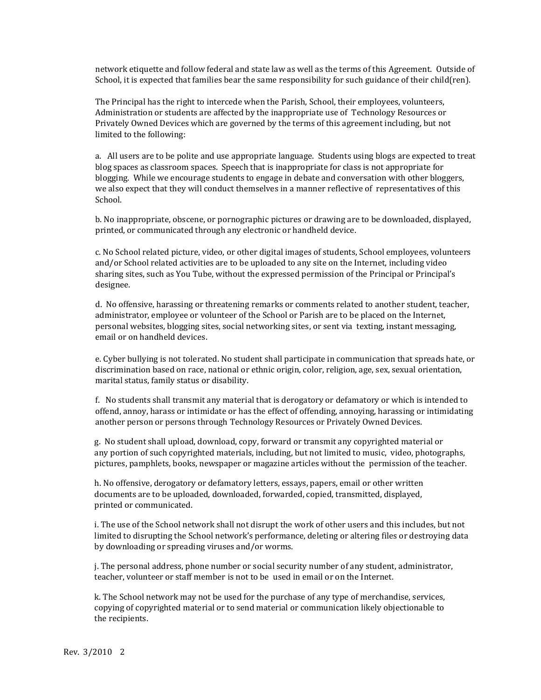network etiquette and follow federal and state law as well as the terms of this Agreement. Outside of School, it is expected that families bear the same responsibility for such guidance of their child(ren).

The Principal has the right to intercede when the Parish, School, their employees, volunteers, Administration or students are affected by the inappropriate use of Technology Resources or Privately Owned Devices which are governed by the terms of this agreement including, but not limited to the following:

a. All users are to be polite and use appropriate language. Students using blogs are expected to treat blog spaces as classroom spaces. Speech that is inappropriate for class is not appropriate for blogging. While we encourage students to engage in debate and conversation with other bloggers, we also expect that they will conduct themselves in a manner reflective of representatives of this School.

b. No inappropriate, obscene, or pornographic pictures or drawing are to be downloaded, displayed, printed, or communicated through any electronic or handheld device.

c. No School related picture, video, or other digital images of students, School employees, volunteers and/or School related activities are to be uploaded to any site on the Internet, including video sharing sites, such as You Tube, without the expressed permission of the Principal or Principal's designee.

d. No offensive, harassing or threatening remarks or comments related to another student, teacher, administrator, employee or volunteer of the School or Parish are to be placed on the Internet, personal websites, blogging sites, social networking sites, or sent via texting, instant messaging, email or on handheld devices.

e. Cyber bullying is not tolerated. No student shall participate in communication that spreads hate, or discrimination based on race, national or ethnic origin, color, religion, age, sex, sexual orientation, marital status, family status or disability.

f. No students shall transmit any material that is derogatory or defamatory or which is intended to offend, annoy, harass or intimidate or has the effect of offending, annoying, harassing or intimidating another person or persons through Technology Resources or Privately Owned Devices.

 g. No student shall upload, download, copy, forward or transmit any copyrighted material or any portion of such copyrighted materials, including, but not limited to music, video, photographs, pictures, pamphlets, books, newspaper or magazine articles without the permission of the teacher.

 h. No offensive, derogatory or defamatory letters, essays, papers, email or other written documents are to be uploaded, downloaded, forwarded, copied, transmitted, displayed, printed or communicated.

 i. The use of the School network shall not disrupt the work of other users and this includes, but not limited to disrupting the School network's performance, deleting or altering files or destroying data by downloading or spreading viruses and/or worms.

 j. The personal address, phone number or social security number of any student, administrator, teacher, volunteer or staff member is not to be used in email or on the Internet.

 k. The School network may not be used for the purchase of any type of merchandise, services, copying of copyrighted material or to send material or communication likely objectionable to the recipients.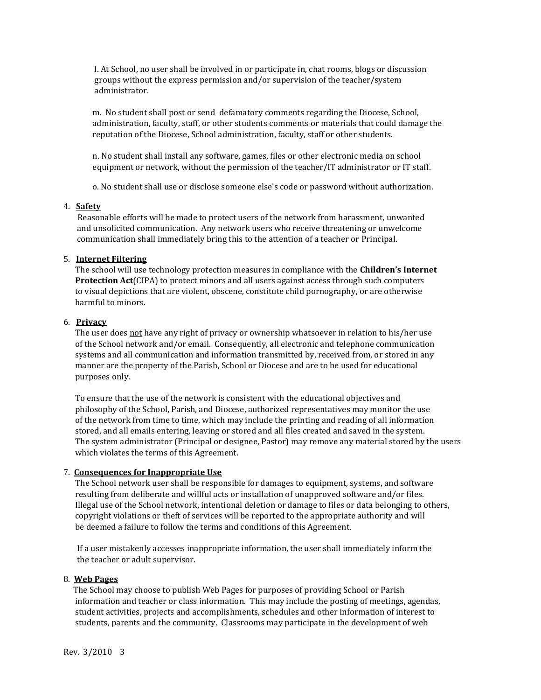l. At School, no user shall be involved in or participate in, chat rooms, blogs or discussion groups without the express permission and/or supervision of the teacher/system administrator.

 m. No student shall post or send defamatory comments regarding the Diocese, School, administration, faculty, staff, or other students comments or materials that could damage the reputation of the Diocese, School administration, faculty, staff or other students.

 n. No student shall install any software, games, files or other electronic media on school equipment or network, without the permission of the teacher/IT administrator or IT staff.

o. No student shall use or disclose someone else's code or password without authorization.

#### 4. **Safety**

 Reasonable efforts will be made to protect users of the network from harassment, unwanted and unsolicited communication. Any network users who receive threatening or unwelcome communication shall immediately bring this to the attention of a teacher or Principal.

#### 5. **Internet Filtering**

The school will use technology protection measures in compliance with the **Children's Internet Protection Act**(CIPA) to protect minors and all users against access through such computers to visual depictions that are violent, obscene, constitute child pornography, or are otherwise harmful to minors.

### 6. **Privacy**

 The user does not have any right of privacy or ownership whatsoever in relation to his/her use of the School network and/or email. Consequently, all electronic and telephone communication systems and all communication and information transmitted by, received from, or stored in any manner are the property of the Parish, School or Diocese and are to be used for educational purposes only.

 To ensure that the use of the network is consistent with the educational objectives and philosophy of the School, Parish, and Diocese, authorized representatives may monitor the use of the network from time to time, which may include the printing and reading of all information stored, and all emails entering, leaving or stored and all files created and saved in the system. The system administrator (Principal or designee, Pastor) may remove any material stored by the users which violates the terms of this Agreement.

#### 7. **Consequences for Inappropriate Use**

The School network user shall be responsible for damages to equipment, systems, and software resulting from deliberate and willful acts or installation of unapproved software and/or files. Illegal use of the School network, intentional deletion or damage to files or data belonging to others, copyright violations or theft of services will be reported to the appropriate authority and will be deemed a failure to follow the terms and conditions of this Agreement.

 If a user mistakenly accesses inappropriate information, the user shall immediately inform the the teacher or adult supervisor.

#### 8. **Web Pages**

 The School may choose to publish Web Pages for purposes of providing School or Parish information and teacher or class information. This may include the posting of meetings, agendas, student activities, projects and accomplishments, schedules and other information of interest to students, parents and the community. Classrooms may participate in the development of web